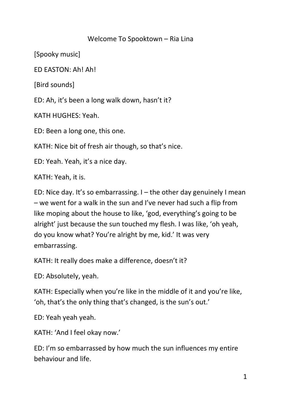## Welcome To Spooktown – Ria Lina

[Spooky music]

ED EASTON: Ah! Ah!

[Bird sounds]

ED: Ah, it's been a long walk down, hasn't it?

KATH HUGHES: Yeah.

ED: Been a long one, this one.

KATH: Nice bit of fresh air though, so that's nice.

ED: Yeah. Yeah, it's a nice day.

KATH: Yeah, it is.

ED: Nice day. It's so embarrassing. I – the other day genuinely I mean – we went for a walk in the sun and I've never had such a flip from like moping about the house to like, 'god, everything's going to be alright' just because the sun touched my flesh. I was like, 'oh yeah, do you know what? You're alright by me, kid.' It was very embarrassing.

KATH: It really does make a difference, doesn't it?

ED: Absolutely, yeah.

KATH: Especially when you're like in the middle of it and you're like, 'oh, that's the only thing that's changed, is the sun's out.'

ED: Yeah yeah yeah.

KATH: 'And I feel okay now.'

ED: I'm so embarrassed by how much the sun influences my entire behaviour and life.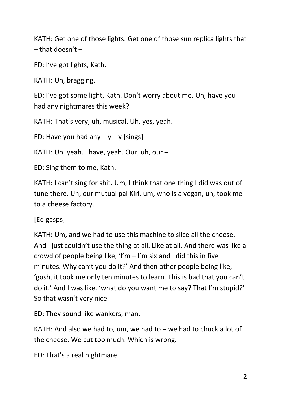KATH: Get one of those lights. Get one of those sun replica lights that  $-$  that doesn't  $-$ 

ED: I've got lights, Kath.

KATH: Uh, bragging.

ED: I've got some light, Kath. Don't worry about me. Uh, have you had any nightmares this week?

KATH: That's very, uh, musical. Uh, yes, yeah.

ED: Have you had any  $-y - y$  [sings]

KATH: Uh, yeah. I have, yeah. Our, uh, our –

ED: Sing them to me, Kath.

KATH: I can't sing for shit. Um, I think that one thing I did was out of tune there. Uh, our mutual pal Kiri, um, who is a vegan, uh, took me to a cheese factory.

[Ed gasps]

KATH: Um, and we had to use this machine to slice all the cheese. And I just couldn't use the thing at all. Like at all. And there was like a crowd of people being like, 'I'm  $-$  I'm six and I did this in five minutes. Why can't you do it?' And then other people being like, 'gosh, it took me only ten minutes to learn. This is bad that you can't do it.' And I was like, 'what do you want me to say? That I'm stupid?' So that wasn't very nice.

ED: They sound like wankers, man.

KATH: And also we had to, um, we had to – we had to chuck a lot of the cheese. We cut too much. Which is wrong.

ED: That's a real nightmare.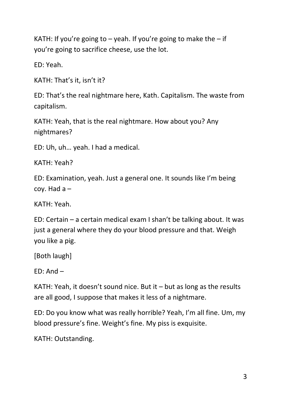KATH: If you're going to  $-$  yeah. If you're going to make the  $-$  if you're going to sacrifice cheese, use the lot.

ED: Yeah.

KATH: That's it, isn't it?

ED: That's the real nightmare here, Kath. Capitalism. The waste from capitalism.

KATH: Yeah, that is the real nightmare. How about you? Any nightmares?

ED: Uh, uh… yeah. I had a medical.

KATH: Yeah?

ED: Examination, yeah. Just a general one. It sounds like I'm being coy. Had  $a -$ 

KATH: Yeah.

ED: Certain – a certain medical exam I shan't be talking about. It was just a general where they do your blood pressure and that. Weigh you like a pig.

[Both laugh]

 $FD: And -$ 

KATH: Yeah, it doesn't sound nice. But it  $-$  but as long as the results are all good, I suppose that makes it less of a nightmare.

ED: Do you know what was really horrible? Yeah, I'm all fine. Um, my blood pressure's fine. Weight's fine. My piss is exquisite.

KATH: Outstanding.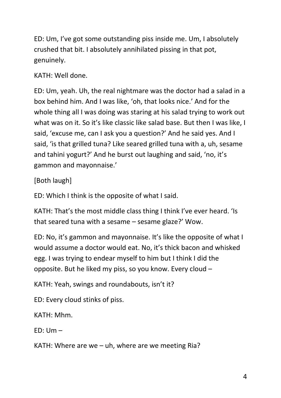ED: Um, I've got some outstanding piss inside me. Um, I absolutely crushed that bit. I absolutely annihilated pissing in that pot, genuinely.

KATH: Well done.

ED: Um, yeah. Uh, the real nightmare was the doctor had a salad in a box behind him. And I was like, 'oh, that looks nice.' And for the whole thing all I was doing was staring at his salad trying to work out what was on it. So it's like classic like salad base. But then I was like, I said, 'excuse me, can I ask you a question?' And he said yes. And I said, 'is that grilled tuna? Like seared grilled tuna with a, uh, sesame and tahini yogurt?' And he burst out laughing and said, 'no, it's gammon and mayonnaise.'

[Both laugh]

ED: Which I think is the opposite of what I said.

KATH: That's the most middle class thing I think I've ever heard. 'Is that seared tuna with a sesame – sesame glaze?' Wow.

ED: No, it's gammon and mayonnaise. It's like the opposite of what I would assume a doctor would eat. No, it's thick bacon and whisked egg. I was trying to endear myself to him but I think I did the opposite. But he liked my piss, so you know. Every cloud –

KATH: Yeah, swings and roundabouts, isn't it?

ED: Every cloud stinks of piss.

KATH: Mhm.

ED: Um –

KATH: Where are we – uh, where are we meeting Ria?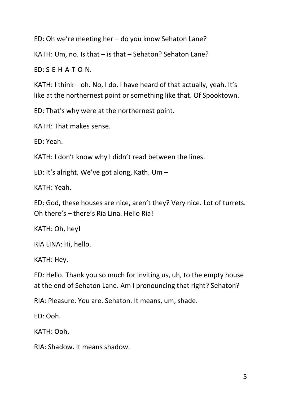ED: Oh we're meeting her – do you know Sehaton Lane?

KATH: Um, no. Is that – is that – Sehaton? Sehaton Lane?

ED: S-E-H-A-T-O-N.

KATH: I think – oh. No, I do. I have heard of that actually, yeah. It's like at the northernest point or something like that. Of Spooktown.

ED: That's why were at the northernest point.

KATH: That makes sense.

ED: Yeah.

KATH: I don't know why I didn't read between the lines.

ED: It's alright. We've got along, Kath. Um –

KATH: Yeah.

ED: God, these houses are nice, aren't they? Very nice. Lot of turrets. Oh there's – there's Ria Lina. Hello Ria!

KATH: Oh, hey!

RIA LINA: Hi, hello.

KATH: Hey.

ED: Hello. Thank you so much for inviting us, uh, to the empty house at the end of Sehaton Lane. Am I pronouncing that right? Sehaton?

RIA: Pleasure. You are. Sehaton. It means, um, shade.

ED: Ooh.

KATH: Ooh.

RIA: Shadow. It means shadow.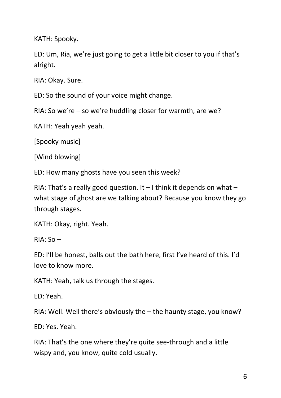KATH: Spooky.

ED: Um, Ria, we're just going to get a little bit closer to you if that's alright.

RIA: Okay. Sure.

ED: So the sound of your voice might change.

RIA: So we're – so we're huddling closer for warmth, are we?

KATH: Yeah yeah yeah.

[Spooky music]

[Wind blowing]

ED: How many ghosts have you seen this week?

RIA: That's a really good question. It  $-$  I think it depends on what  $$ what stage of ghost are we talking about? Because you know they go through stages.

KATH: Okay, right. Yeah.

RIA: So –

ED: I'll be honest, balls out the bath here, first I've heard of this. I'd love to know more.

KATH: Yeah, talk us through the stages.

ED: Yeah.

RIA: Well. Well there's obviously the – the haunty stage, you know?

ED: Yes. Yeah.

RIA: That's the one where they're quite see-through and a little wispy and, you know, quite cold usually.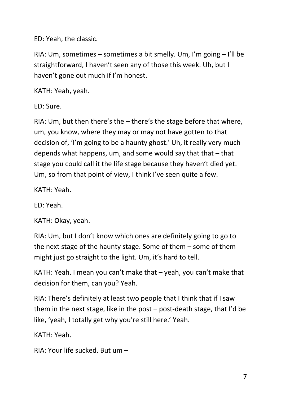ED: Yeah, the classic.

RIA: Um, sometimes – sometimes a bit smelly. Um, I'm going – I'll be straightforward, I haven't seen any of those this week. Uh, but I haven't gone out much if I'm honest.

KATH: Yeah, yeah.

ED: Sure.

RIA: Um, but then there's the – there's the stage before that where, um, you know, where they may or may not have gotten to that decision of, 'I'm going to be a haunty ghost.' Uh, it really very much depends what happens, um, and some would say that that  $-$  that stage you could call it the life stage because they haven't died yet. Um, so from that point of view, I think I've seen quite a few.

KATH: Yeah.

ED: Yeah.

KATH: Okay, yeah.

RIA: Um, but I don't know which ones are definitely going to go to the next stage of the haunty stage. Some of them – some of them might just go straight to the light. Um, it's hard to tell.

KATH: Yeah. I mean you can't make that – yeah, you can't make that decision for them, can you? Yeah.

RIA: There's definitely at least two people that I think that if I saw them in the next stage, like in the post – post-death stage, that I'd be like, 'yeah, I totally get why you're still here.' Yeah.

KATH: Yeah.

RIA: Your life sucked. But um –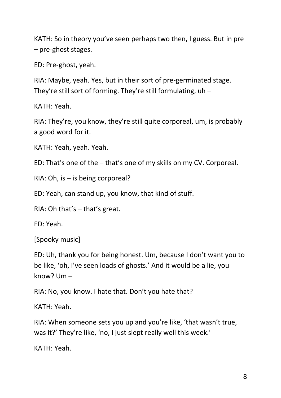KATH: So in theory you've seen perhaps two then, I guess. But in pre – pre-ghost stages.

ED: Pre-ghost, yeah.

RIA: Maybe, yeah. Yes, but in their sort of pre-germinated stage. They're still sort of forming. They're still formulating,  $uh -$ 

KATH: Yeah.

RIA: They're, you know, they're still quite corporeal, um, is probably a good word for it.

KATH: Yeah, yeah. Yeah.

ED: That's one of the – that's one of my skills on my CV. Corporeal.

RIA: Oh, is – is being corporeal?

ED: Yeah, can stand up, you know, that kind of stuff.

RIA: Oh that's – that's great.

ED: Yeah.

[Spooky music]

ED: Uh, thank you for being honest. Um, because I don't want you to be like, 'oh, I've seen loads of ghosts.' And it would be a lie, you know? Um –

RIA: No, you know. I hate that. Don't you hate that?

KATH: Yeah.

RIA: When someone sets you up and you're like, 'that wasn't true, was it?' They're like, 'no, I just slept really well this week.'

KATH: Yeah.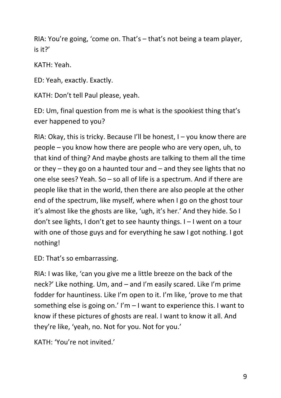RIA: You're going, 'come on. That's – that's not being a team player, is it?'

KATH: Yeah.

ED: Yeah, exactly. Exactly.

KATH: Don't tell Paul please, yeah.

ED: Um, final question from me is what is the spookiest thing that's ever happened to you?

RIA: Okay, this is tricky. Because I'll be honest,  $I - y$ ou know there are people – you know how there are people who are very open, uh, to that kind of thing? And maybe ghosts are talking to them all the time or they – they go on a haunted tour and – and they see lights that no one else sees? Yeah. So – so all of life is a spectrum. And if there are people like that in the world, then there are also people at the other end of the spectrum, like myself, where when I go on the ghost tour it's almost like the ghosts are like, 'ugh, it's her.' And they hide. So I don't see lights, I don't get to see haunty things. I – I went on a tour with one of those guys and for everything he saw I got nothing. I got nothing!

ED: That's so embarrassing.

RIA: I was like, 'can you give me a little breeze on the back of the neck?' Like nothing. Um, and – and I'm easily scared. Like I'm prime fodder for hauntiness. Like I'm open to it. I'm like, 'prove to me that something else is going on.' I'm – I want to experience this. I want to know if these pictures of ghosts are real. I want to know it all. And they're like, 'yeah, no. Not for you. Not for you.'

KATH: 'You're not invited.'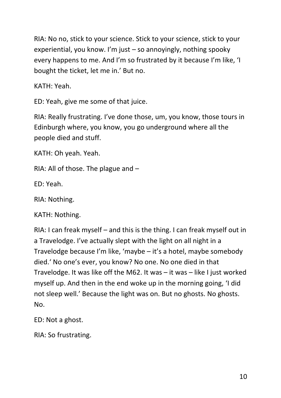RIA: No no, stick to your science. Stick to your science, stick to your experiential, you know. I'm just – so annoyingly, nothing spooky every happens to me. And I'm so frustrated by it because I'm like, 'I bought the ticket, let me in.' But no.

KATH: Yeah.

ED: Yeah, give me some of that juice.

RIA: Really frustrating. I've done those, um, you know, those tours in Edinburgh where, you know, you go underground where all the people died and stuff.

KATH: Oh yeah. Yeah.

RIA: All of those. The plague and –

ED: Yeah.

RIA: Nothing.

KATH: Nothing.

RIA: I can freak myself – and this is the thing. I can freak myself out in a Travelodge. I've actually slept with the light on all night in a Travelodge because I'm like, 'maybe – it's a hotel, maybe somebody died.' No one's ever, you know? No one. No one died in that Travelodge. It was like off the M62. It was – it was – like I just worked myself up. And then in the end woke up in the morning going, 'I did not sleep well.' Because the light was on. But no ghosts. No ghosts. No.

ED: Not a ghost.

RIA: So frustrating.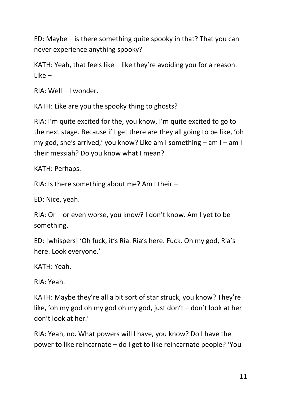ED: Maybe – is there something quite spooky in that? That you can never experience anything spooky?

KATH: Yeah, that feels like – like they're avoiding you for a reason. Like –

RIA: Well – I wonder.

KATH: Like are you the spooky thing to ghosts?

RIA: I'm quite excited for the, you know, I'm quite excited to go to the next stage. Because if I get there are they all going to be like, 'oh my god, she's arrived,' you know? Like am I something – am I – am I their messiah? Do you know what I mean?

KATH: Perhaps.

RIA: Is there something about me? Am I their –

ED: Nice, yeah.

RIA: Or – or even worse, you know? I don't know. Am I yet to be something.

ED: [whispers] 'Oh fuck, it's Ria. Ria's here. Fuck. Oh my god, Ria's here. Look everyone.'

KATH: Yeah.

RIA: Yeah.

KATH: Maybe they're all a bit sort of star struck, you know? They're like, 'oh my god oh my god oh my god, just don't – don't look at her don't look at her.'

RIA: Yeah, no. What powers will I have, you know? Do I have the power to like reincarnate – do I get to like reincarnate people? 'You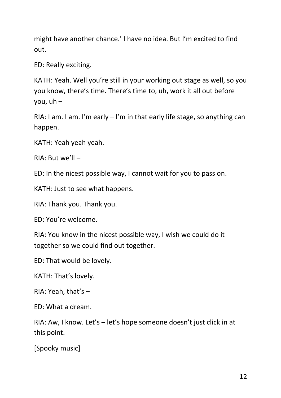might have another chance.' I have no idea. But I'm excited to find out.

ED: Really exciting.

KATH: Yeah. Well you're still in your working out stage as well, so you you know, there's time. There's time to, uh, work it all out before you, uh –

RIA: I am. I am. I'm early  $-1$ 'm in that early life stage, so anything can happen.

KATH: Yeah yeah yeah.

RIA: But we'll –

ED: In the nicest possible way, I cannot wait for you to pass on.

KATH: Just to see what happens.

RIA: Thank you. Thank you.

ED: You're welcome.

RIA: You know in the nicest possible way, I wish we could do it together so we could find out together.

ED: That would be lovely.

KATH: That's lovely.

RIA: Yeah, that's  $-$ 

 $FD: What a dream$ 

RIA: Aw, I know. Let's – let's hope someone doesn't just click in at this point.

[Spooky music]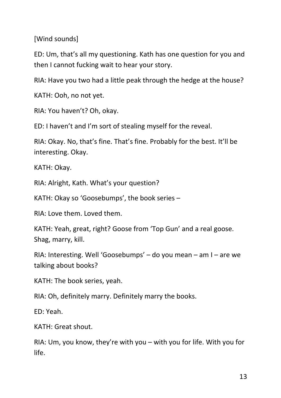[Wind sounds]

ED: Um, that's all my questioning. Kath has one question for you and then I cannot fucking wait to hear your story.

RIA: Have you two had a little peak through the hedge at the house?

KATH: Ooh, no not yet.

RIA: You haven't? Oh, okay.

ED: I haven't and I'm sort of stealing myself for the reveal.

RIA: Okay. No, that's fine. That's fine. Probably for the best. It'll be interesting. Okay.

KATH: Okay.

RIA: Alright, Kath. What's your question?

KATH: Okay so 'Goosebumps', the book series –

RIA: Love them. Loved them.

KATH: Yeah, great, right? Goose from 'Top Gun' and a real goose. Shag, marry, kill.

RIA: Interesting. Well 'Goosebumps' – do you mean – am I – are we talking about books?

KATH: The book series, yeah.

RIA: Oh, definitely marry. Definitely marry the books.

ED: Yeah.

KATH: Great shout.

RIA: Um, you know, they're with you – with you for life. With you for life.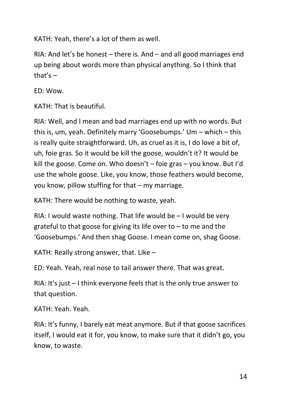KATH: Yeah, there's a lot of them as well.

RIA: And let's be honest – there is. And – and all good marriages end up being about words more than physical anything. So I think that that's  $-$ 

ED: Wow.

KATH: That is beautiful.

RIA: Well, and I mean and bad marriages end up with no words. But this is, um, yeah. Definitely marry 'Goosebumps.' Um – which – this is really quite straightforward. Uh, as cruel as it is, I do love a bit of, uh, foie gras. So it would be kill the goose, wouldn't it? It would be kill the goose. Come on. Who doesn't – foie gras – you know. But I'd use the whole goose. Like, you know, those feathers would become, you know, pillow stuffing for that – my marriage.

KATH: There would be nothing to waste, yeah.

RIA: I would waste nothing. That life would be – I would be very grateful to that goose for giving its life over to  $-$  to me and the 'Goosebumps.' And then shag Goose. I mean come on, shag Goose.

KATH: Really strong answer, that. Like –

ED: Yeah. Yeah, real nose to tail answer there. That was great.

RIA: It's just – I think everyone feels that is the only true answer to that question.

KATH: Yeah. Yeah.

RIA: It's funny, I barely eat meat anymore. But if that goose sacrifices itself, I would eat it for, you know, to make sure that it didn't go, you know, to waste.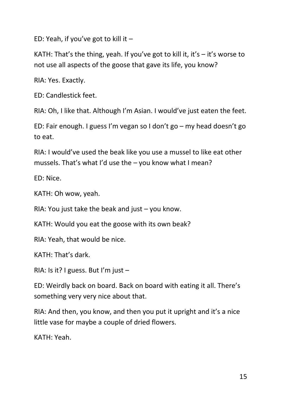ED: Yeah, if you've got to kill it  $-$ 

KATH: That's the thing, yeah. If you've got to kill it, it's  $-$  it's worse to not use all aspects of the goose that gave its life, you know?

RIA: Yes. Exactly.

ED: Candlestick feet.

RIA: Oh, I like that. Although I'm Asian. I would've just eaten the feet.

ED: Fair enough. I guess I'm vegan so I don't go – my head doesn't go to eat.

RIA: I would've used the beak like you use a mussel to like eat other mussels. That's what I'd use the – you know what I mean?

ED: Nice.

KATH: Oh wow, yeah.

RIA: You just take the beak and just – you know.

KATH: Would you eat the goose with its own beak?

RIA: Yeah, that would be nice.

KATH: That's dark.

RIA: Is it? I guess. But I'm just  $-$ 

ED: Weirdly back on board. Back on board with eating it all. There's something very very nice about that.

RIA: And then, you know, and then you put it upright and it's a nice little vase for maybe a couple of dried flowers.

KATH: Yeah.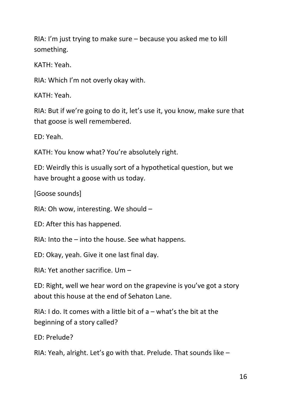RIA: I'm just trying to make sure – because you asked me to kill something.

KATH: Yeah.

RIA: Which I'm not overly okay with.

KATH: Yeah.

RIA: But if we're going to do it, let's use it, you know, make sure that that goose is well remembered.

ED: Yeah.

KATH: You know what? You're absolutely right.

ED: Weirdly this is usually sort of a hypothetical question, but we have brought a goose with us today.

[Goose sounds]

RIA: Oh wow, interesting. We should –

ED: After this has happened.

RIA: Into the – into the house. See what happens.

ED: Okay, yeah. Give it one last final day.

RIA: Yet another sacrifice. Um –

ED: Right, well we hear word on the grapevine is you've got a story about this house at the end of Sehaton Lane.

RIA: I do. It comes with a little bit of  $a$  – what's the bit at the beginning of a story called?

ED: Prelude?

RIA: Yeah, alright. Let's go with that. Prelude. That sounds like –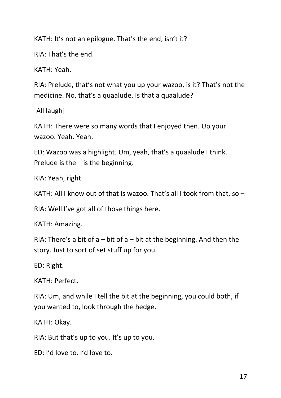KATH: It's not an epilogue. That's the end, isn't it?

RIA: That's the end.

KATH: Yeah.

RIA: Prelude, that's not what you up your wazoo, is it? That's not the medicine. No, that's a quaalude. Is that a quaalude?

[All laugh]

KATH: There were so many words that I enjoyed then. Up your wazoo. Yeah. Yeah.

ED: Wazoo was a highlight. Um, yeah, that's a quaalude I think. Prelude is the  $-$  is the beginning.

RIA: Yeah, right.

KATH: All I know out of that is wazoo. That's all I took from that, so –

RIA: Well I've got all of those things here.

KATH: Amazing.

RIA: There's a bit of  $a - bit$  of  $a - bit$  at the beginning. And then the story. Just to sort of set stuff up for you.

ED: Right.

KATH: Perfect.

RIA: Um, and while I tell the bit at the beginning, you could both, if you wanted to, look through the hedge.

KATH: Okay.

RIA: But that's up to you. It's up to you.

ED: I'd love to. I'd love to.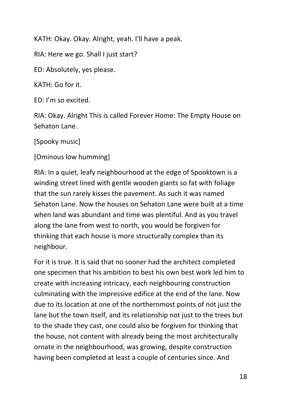KATH: Okay. Okay. Alright, yeah. I'll have a peak.

RIA: Here we go. Shall I just start?

ED: Absolutely, yes please.

KATH: Go for it.

ED: I'm so excited.

RIA: Okay. Alright This is called Forever Home: The Empty House on Sehaton Lane.

[Spooky music]

[Ominous low humming]

RIA: In a quiet, leafy neighbourhood at the edge of Spooktown is a winding street lined with gentle wooden giants so fat with foliage that the sun rarely kisses the pavement. As such it was named Sehaton Lane. Now the houses on Sehaton Lane were built at a time when land was abundant and time was plentiful. And as you travel along the lane from west to north, you would be forgiven for thinking that each house is more structurally complex than its neighbour.

For it is true. It is said that no sooner had the architect completed one specimen that his ambition to best his own best work led him to create with increasing intricacy, each neighbouring construction culminating with the impressive edifice at the end of the lane. Now due to its location at one of the northernmost points of not just the lane but the town itself, and its relationship not just to the trees but to the shade they cast, one could also be forgiven for thinking that the house, not content with already being the most architecturally ornate in the neighbourhood, was growing, despite construction having been completed at least a couple of centuries since. And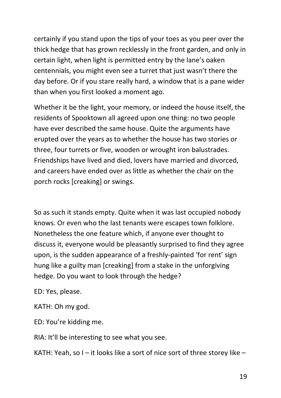certainly if you stand upon the tips of your toes as you peer over the thick hedge that has grown recklessly in the front garden, and only in certain light, when light is permitted entry by the lane's oaken centennials, you might even see a turret that just wasn't there the day before. Or if you stare really hard, a window that is a pane wider than when you first looked a moment ago.

Whether it be the light, your memory, or indeed the house itself, the residents of Spooktown all agreed upon one thing: no two people have ever described the same house. Quite the arguments have erupted over the years as to whether the house has two stories or three, four turrets or five, wooden or wrought iron balustrades. Friendships have lived and died, lovers have married and divorced, and careers have ended over as little as whether the chair on the porch rocks [creaking] or swings.

So as such it stands empty. Quite when it was last occupied nobody knows. Or even who the last tenants were escapes town folklore. Nonetheless the one feature which, if anyone ever thought to discuss it, everyone would be pleasantly surprised to find they agree upon, is the sudden appearance of a freshly-painted 'for rent' sign hung like a guilty man [creaking] from a stake in the unforgiving hedge. Do you want to look through the hedge?

ED: Yes, please.

KATH: Oh my god.

ED: You're kidding me.

RIA: It'll be interesting to see what you see.

KATH: Yeah, so I – it looks like a sort of nice sort of three storey like –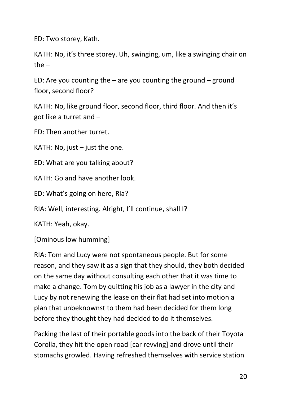ED: Two storey, Kath.

KATH: No, it's three storey. Uh, swinging, um, like a swinging chair on the –

ED: Are you counting the  $-$  are you counting the ground  $-$  ground floor, second floor?

KATH: No, like ground floor, second floor, third floor. And then it's got like a turret and –

ED: Then another turret.

KATH: No, just  $-$  just the one.

ED: What are you talking about?

KATH: Go and have another look.

ED: What's going on here, Ria?

RIA: Well, interesting. Alright, I'll continue, shall I?

KATH: Yeah, okay.

[Ominous low humming]

RIA: Tom and Lucy were not spontaneous people. But for some reason, and they saw it as a sign that they should, they both decided on the same day without consulting each other that it was time to make a change. Tom by quitting his job as a lawyer in the city and Lucy by not renewing the lease on their flat had set into motion a plan that unbeknownst to them had been decided for them long before they thought they had decided to do it themselves.

Packing the last of their portable goods into the back of their Toyota Corolla, they hit the open road [car revving] and drove until their stomachs growled. Having refreshed themselves with service station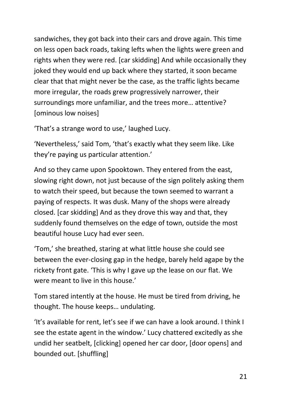sandwiches, they got back into their cars and drove again. This time on less open back roads, taking lefts when the lights were green and rights when they were red. [car skidding] And while occasionally they joked they would end up back where they started, it soon became clear that that might never be the case, as the traffic lights became more irregular, the roads grew progressively narrower, their surroundings more unfamiliar, and the trees more… attentive? [ominous low noises]

'That's a strange word to use,' laughed Lucy.

'Nevertheless,' said Tom, 'that's exactly what they seem like. Like they're paying us particular attention.'

And so they came upon Spooktown. They entered from the east, slowing right down, not just because of the sign politely asking them to watch their speed, but because the town seemed to warrant a paying of respects. It was dusk. Many of the shops were already closed. [car skidding] And as they drove this way and that, they suddenly found themselves on the edge of town, outside the most beautiful house Lucy had ever seen.

'Tom,' she breathed, staring at what little house she could see between the ever-closing gap in the hedge, barely held agape by the rickety front gate. 'This is why I gave up the lease on our flat. We were meant to live in this house.'

Tom stared intently at the house. He must be tired from driving, he thought. The house keeps… undulating.

'It's available for rent, let's see if we can have a look around. I think I see the estate agent in the window.' Lucy chattered excitedly as she undid her seatbelt, [clicking] opened her car door, [door opens] and bounded out. [shuffling]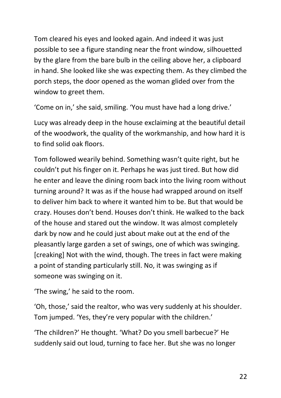Tom cleared his eyes and looked again. And indeed it was just possible to see a figure standing near the front window, silhouetted by the glare from the bare bulb in the ceiling above her, a clipboard in hand. She looked like she was expecting them. As they climbed the porch steps, the door opened as the woman glided over from the window to greet them.

'Come on in,' she said, smiling. 'You must have had a long drive.'

Lucy was already deep in the house exclaiming at the beautiful detail of the woodwork, the quality of the workmanship, and how hard it is to find solid oak floors.

Tom followed wearily behind. Something wasn't quite right, but he couldn't put his finger on it. Perhaps he was just tired. But how did he enter and leave the dining room back into the living room without turning around? It was as if the house had wrapped around on itself to deliver him back to where it wanted him to be. But that would be crazy. Houses don't bend. Houses don't think. He walked to the back of the house and stared out the window. It was almost completely dark by now and he could just about make out at the end of the pleasantly large garden a set of swings, one of which was swinging. [creaking] Not with the wind, though. The trees in fact were making a point of standing particularly still. No, it was swinging as if someone was swinging on it.

'The swing,' he said to the room.

'Oh, those,' said the realtor, who was very suddenly at his shoulder. Tom jumped. 'Yes, they're very popular with the children.'

'The children?' He thought. 'What? Do you smell barbecue?' He suddenly said out loud, turning to face her. But she was no longer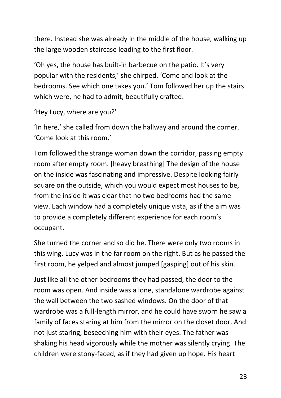there. Instead she was already in the middle of the house, walking up the large wooden staircase leading to the first floor.

'Oh yes, the house has built-in barbecue on the patio. It's very popular with the residents,' she chirped. 'Come and look at the bedrooms. See which one takes you.' Tom followed her up the stairs which were, he had to admit, beautifully crafted.

```
'Hey Lucy, where are you?'
```
'In here,' she called from down the hallway and around the corner. 'Come look at this room.'

Tom followed the strange woman down the corridor, passing empty room after empty room. [heavy breathing] The design of the house on the inside was fascinating and impressive. Despite looking fairly square on the outside, which you would expect most houses to be, from the inside it was clear that no two bedrooms had the same view. Each window had a completely unique vista, as if the aim was to provide a completely different experience for each room's occupant.

She turned the corner and so did he. There were only two rooms in this wing. Lucy was in the far room on the right. But as he passed the first room, he yelped and almost jumped [gasping] out of his skin.

Just like all the other bedrooms they had passed, the door to the room was open. And inside was a lone, standalone wardrobe against the wall between the two sashed windows. On the door of that wardrobe was a full-length mirror, and he could have sworn he saw a family of faces staring at him from the mirror on the closet door. And not just staring, beseeching him with their eyes. The father was shaking his head vigorously while the mother was silently crying. The children were stony-faced, as if they had given up hope. His heart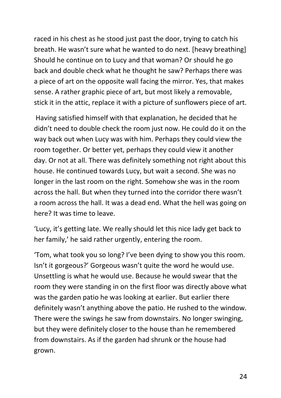raced in his chest as he stood just past the door, trying to catch his breath. He wasn't sure what he wanted to do next. [heavy breathing] Should he continue on to Lucy and that woman? Or should he go back and double check what he thought he saw? Perhaps there was a piece of art on the opposite wall facing the mirror. Yes, that makes sense. A rather graphic piece of art, but most likely a removable, stick it in the attic, replace it with a picture of sunflowers piece of art.

Having satisfied himself with that explanation, he decided that he didn't need to double check the room just now. He could do it on the way back out when Lucy was with him. Perhaps they could view the room together. Or better yet, perhaps they could view it another day. Or not at all. There was definitely something not right about this house. He continued towards Lucy, but wait a second. She was no longer in the last room on the right. Somehow she was in the room across the hall. But when they turned into the corridor there wasn't a room across the hall. It was a dead end. What the hell was going on here? It was time to leave.

'Lucy, it's getting late. We really should let this nice lady get back to her family,' he said rather urgently, entering the room.

'Tom, what took you so long? I've been dying to show you this room. Isn't it gorgeous?' Gorgeous wasn't quite the word he would use. Unsettling is what he would use. Because he would swear that the room they were standing in on the first floor was directly above what was the garden patio he was looking at earlier. But earlier there definitely wasn't anything above the patio. He rushed to the window. There were the swings he saw from downstairs. No longer swinging, but they were definitely closer to the house than he remembered from downstairs. As if the garden had shrunk or the house had grown.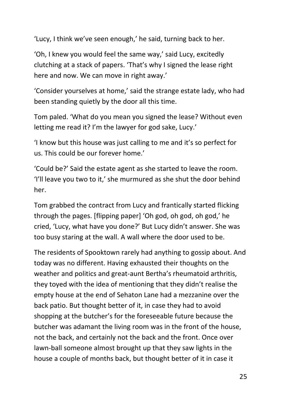'Lucy, I think we've seen enough,' he said, turning back to her.

'Oh, I knew you would feel the same way,' said Lucy, excitedly clutching at a stack of papers. 'That's why I signed the lease right here and now. We can move in right away.'

'Consider yourselves at home,' said the strange estate lady, who had been standing quietly by the door all this time.

Tom paled. 'What do you mean you signed the lease? Without even letting me read it? I'm the lawyer for god sake, Lucy.'

'I know but this house was just calling to me and it's so perfect for us. This could be our forever home.'

'Could be?' Said the estate agent as she started to leave the room. 'I'll leave you two to it,' she murmured as she shut the door behind her.

Tom grabbed the contract from Lucy and frantically started flicking through the pages. [flipping paper] 'Oh god, oh god, oh god,' he cried, 'Lucy, what have you done?' But Lucy didn't answer. She was too busy staring at the wall. A wall where the door used to be.

The residents of Spooktown rarely had anything to gossip about. And today was no different. Having exhausted their thoughts on the weather and politics and great-aunt Bertha's rheumatoid arthritis, they toyed with the idea of mentioning that they didn't realise the empty house at the end of Sehaton Lane had a mezzanine over the back patio. But thought better of it, in case they had to avoid shopping at the butcher's for the foreseeable future because the butcher was adamant the living room was in the front of the house, not the back, and certainly not the back and the front. Once over lawn-ball someone almost brought up that they saw lights in the house a couple of months back, but thought better of it in case it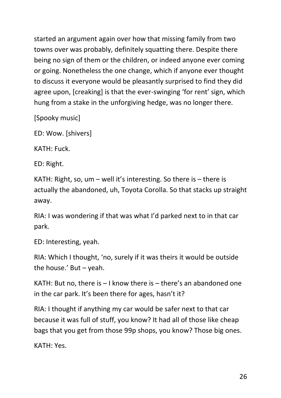started an argument again over how that missing family from two towns over was probably, definitely squatting there. Despite there being no sign of them or the children, or indeed anyone ever coming or going. Nonetheless the one change, which if anyone ever thought to discuss it everyone would be pleasantly surprised to find they did agree upon, [creaking] is that the ever-swinging 'for rent' sign, which hung from a stake in the unforgiving hedge, was no longer there.

[Spooky music]

ED: Wow. [shivers]

KATH: Fuck.

ED: Right.

KATH: Right, so, um – well it's interesting. So there is – there is actually the abandoned, uh, Toyota Corolla. So that stacks up straight away.

RIA: I was wondering if that was what I'd parked next to in that car park.

ED: Interesting, yeah.

RIA: Which I thought, 'no, surely if it was theirs it would be outside the house.' But – yeah.

KATH: But no, there is – I know there is – there's an abandoned one in the car park. It's been there for ages, hasn't it?

RIA: I thought if anything my car would be safer next to that car because it was full of stuff, you know? It had all of those like cheap bags that you get from those 99p shops, you know? Those big ones.

KATH: Yes.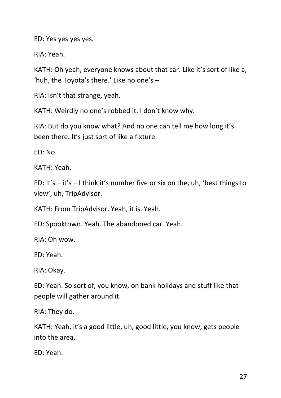ED: Yes yes yes yes.

RIA: Yeah.

KATH: Oh yeah, everyone knows about that car. Like it's sort of like a, 'huh, the Toyota's there.' Like no one's –

RIA: Isn't that strange, yeah.

KATH: Weirdly no one's robbed it. I don't know why.

RIA: But do you know what? And no one can tell me how long it's been there. It's just sort of like a fixture.

ED: No.

KATH: Yeah.

ED: It's  $-$  it's  $-$  I think it's number five or six on the, uh, 'best things to view', uh, TripAdvisor.

KATH: From TripAdvisor. Yeah, it is. Yeah.

ED: Spooktown. Yeah. The abandoned car. Yeah.

RIA: Oh wow.

ED: Yeah.

RIA: Okay.

ED: Yeah. So sort of, you know, on bank holidays and stuff like that people will gather around it.

RIA: They do.

KATH: Yeah, it's a good little, uh, good little, you know, gets people into the area.

ED: Yeah.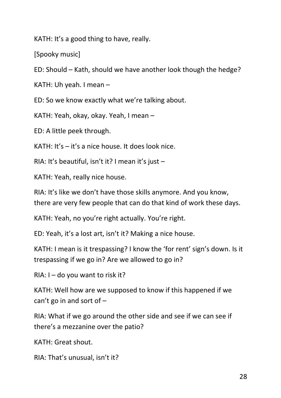KATH: It's a good thing to have, really.

[Spooky music]

ED: Should – Kath, should we have another look though the hedge?

KATH: Uh yeah. I mean –

ED: So we know exactly what we're talking about.

KATH: Yeah, okay, okay. Yeah, I mean –

ED: A little peek through.

KATH: It's – it's a nice house. It does look nice.

RIA: It's beautiful, isn't it? I mean it's just –

KATH: Yeah, really nice house.

RIA: It's like we don't have those skills anymore. And you know, there are very few people that can do that kind of work these days.

KATH: Yeah, no you're right actually. You're right.

ED: Yeah, it's a lost art, isn't it? Making a nice house.

KATH: I mean is it trespassing? I know the 'for rent' sign's down. Is it trespassing if we go in? Are we allowed to go in?

RIA:  $I -$  do you want to risk it?

KATH: Well how are we supposed to know if this happened if we can't go in and sort of –

RIA: What if we go around the other side and see if we can see if there's a mezzanine over the patio?

KATH: Great shout.

RIA: That's unusual, isn't it?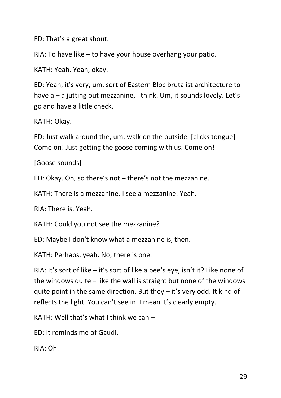ED: That's a great shout.

RIA: To have like – to have your house overhang your patio.

KATH: Yeah. Yeah, okay.

ED: Yeah, it's very, um, sort of Eastern Bloc brutalist architecture to have  $a - a$  jutting out mezzanine, I think. Um, it sounds lovely. Let's go and have a little check.

KATH: Okay.

ED: Just walk around the, um, walk on the outside. [clicks tongue] Come on! Just getting the goose coming with us. Come on!

[Goose sounds]

ED: Okay. Oh, so there's not – there's not the mezzanine.

KATH: There is a mezzanine. I see a mezzanine. Yeah.

RIA: There is. Yeah.

KATH: Could you not see the mezzanine?

ED: Maybe I don't know what a mezzanine is, then.

KATH: Perhaps, yeah. No, there is one.

RIA: It's sort of like – it's sort of like a bee's eye, isn't it? Like none of the windows quite – like the wall is straight but none of the windows quite point in the same direction. But they – it's very odd. It kind of reflects the light. You can't see in. I mean it's clearly empty.

KATH: Well that's what I think we can  $-$ 

ED: It reminds me of Gaudi.

RIA: Oh.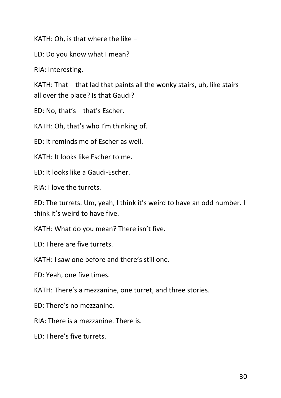KATH: Oh, is that where the like –

ED: Do you know what I mean?

RIA: Interesting.

KATH: That – that lad that paints all the wonky stairs, uh, like stairs all over the place? Is that Gaudi?

ED: No, that's – that's Escher.

KATH: Oh, that's who I'm thinking of.

ED: It reminds me of Escher as well.

KATH: It looks like Escher to me.

ED: It looks like a Gaudi-Escher.

RIA: I love the turrets.

ED: The turrets. Um, yeah, I think it's weird to have an odd number. I think it's weird to have five.

KATH: What do you mean? There isn't five.

ED: There are five turrets.

KATH: I saw one before and there's still one.

ED: Yeah, one five times.

KATH: There's a mezzanine, one turret, and three stories.

ED: There's no mezzanine.

RIA: There is a mezzanine. There is.

ED: There's five turrets.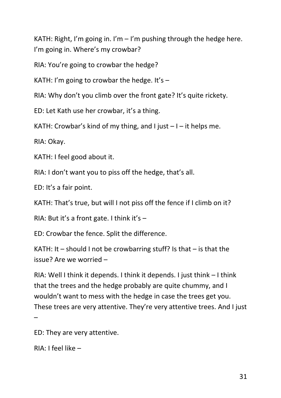KATH: Right, I'm going in. I'm  $-1$ 'm pushing through the hedge here. I'm going in. Where's my crowbar?

RIA: You're going to crowbar the hedge?

KATH: I'm going to crowbar the hedge. It's  $-$ 

RIA: Why don't you climb over the front gate? It's quite rickety.

ED: Let Kath use her crowbar, it's a thing.

KATH: Crowbar's kind of my thing, and I just  $-1$  – it helps me.

RIA: Okay.

KATH: I feel good about it.

RIA: I don't want you to piss off the hedge, that's all.

ED: It's a fair point.

KATH: That's true, but will I not piss off the fence if I climb on it?

RIA: But it's a front gate. I think it's –

ED: Crowbar the fence. Split the difference.

KATH: It – should I not be crowbarring stuff? Is that – is that the issue? Are we worried –

RIA: Well I think it depends. I think it depends. I just think – I think that the trees and the hedge probably are quite chummy, and I wouldn't want to mess with the hedge in case the trees get you. These trees are very attentive. They're very attentive trees. And I just –

ED: They are very attentive.

RIA: I feel like –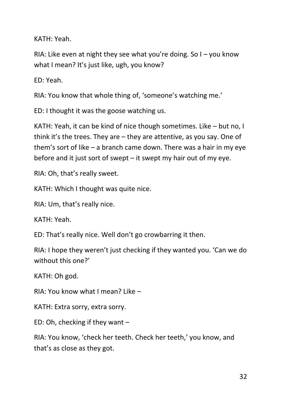KATH: Yeah.

RIA: Like even at night they see what you're doing. So  $I -$  you know what I mean? It's just like, ugh, you know?

ED: Yeah.

RIA: You know that whole thing of, 'someone's watching me.'

ED: I thought it was the goose watching us.

KATH: Yeah, it can be kind of nice though sometimes. Like – but no, I think it's the trees. They are – they are attentive, as you say. One of them's sort of like – a branch came down. There was a hair in my eye before and it just sort of swept – it swept my hair out of my eye.

RIA: Oh, that's really sweet.

KATH: Which I thought was quite nice.

RIA: Um, that's really nice.

KATH: Yeah.

ED: That's really nice. Well don't go crowbarring it then.

RIA: I hope they weren't just checking if they wanted you. 'Can we do without this one?'

KATH: Oh god.

RIA: You know what I mean? Like –

KATH: Extra sorry, extra sorry.

ED: Oh, checking if they want –

RIA: You know, 'check her teeth. Check her teeth,' you know, and that's as close as they got.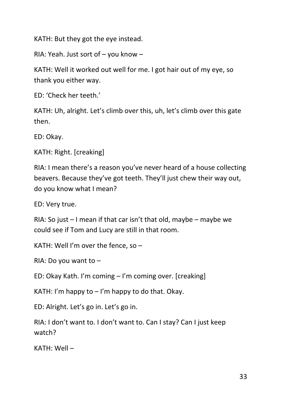KATH: But they got the eye instead.

RIA: Yeah. Just sort of – you know –

KATH: Well it worked out well for me. I got hair out of my eye, so thank you either way.

ED: 'Check her teeth.'

KATH: Uh, alright. Let's climb over this, uh, let's climb over this gate then.

ED: Okay.

KATH: Right. [creaking]

RIA: I mean there's a reason you've never heard of a house collecting beavers. Because they've got teeth. They'll just chew their way out, do you know what I mean?

ED: Very true.

RIA: So just  $-1$  mean if that car isn't that old, maybe – maybe we could see if Tom and Lucy are still in that room.

KATH: Well I'm over the fence, so –

RIA: Do you want to –

ED: Okay Kath. I'm coming – I'm coming over. [creaking]

KATH: I'm happy to  $-$  I'm happy to do that. Okay.

ED: Alright. Let's go in. Let's go in.

RIA: I don't want to. I don't want to. Can I stay? Can I just keep watch?

KATH: Well –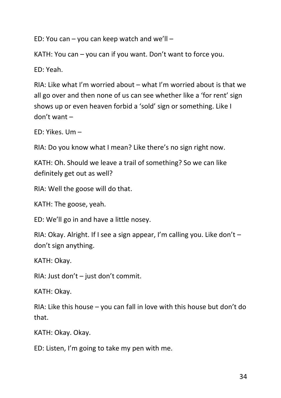ED: You can – you can keep watch and we'll –

KATH: You can – you can if you want. Don't want to force you.

ED: Yeah.

RIA: Like what I'm worried about – what I'm worried about is that we all go over and then none of us can see whether like a 'for rent' sign shows up or even heaven forbid a 'sold' sign or something. Like I don't want –

ED: Yikes. Um –

RIA: Do you know what I mean? Like there's no sign right now.

KATH: Oh. Should we leave a trail of something? So we can like definitely get out as well?

RIA: Well the goose will do that.

KATH: The goose, yeah.

ED: We'll go in and have a little nosey.

RIA: Okay. Alright. If I see a sign appear, I'm calling you. Like don't – don't sign anything.

KATH: Okay.

RIA: Just don't – just don't commit.

KATH: Okay.

RIA: Like this house – you can fall in love with this house but don't do that.

KATH: Okay. Okay.

ED: Listen, I'm going to take my pen with me.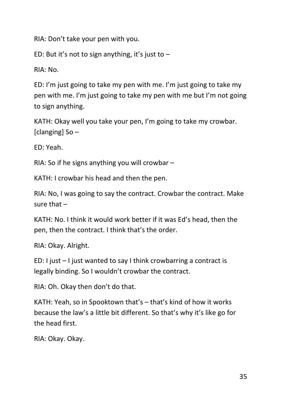RIA: Don't take your pen with you.

ED: But it's not to sign anything, it's just to  $-$ 

RIA: No.

ED: I'm just going to take my pen with me. I'm just going to take my pen with me. I'm just going to take my pen with me but I'm not going to sign anything.

KATH: Okay well you take your pen, I'm going to take my crowbar. [clanging]  $So -$ 

ED: Yeah.

RIA: So if he signs anything you will crowbar –

KATH: I crowbar his head and then the pen.

RIA: No, I was going to say the contract. Crowbar the contract. Make sure that  $-$ 

KATH: No. I think it would work better if it was Ed's head, then the pen, then the contract. I think that's the order.

RIA: Okay. Alright.

ED: I just – I just wanted to say I think crowbarring a contract is legally binding. So I wouldn't crowbar the contract.

RIA: Oh. Okay then don't do that.

KATH: Yeah, so in Spooktown that's – that's kind of how it works because the law's a little bit different. So that's why it's like go for the head first.

RIA: Okay. Okay.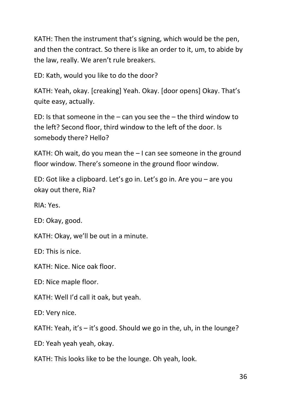KATH: Then the instrument that's signing, which would be the pen, and then the contract. So there is like an order to it, um, to abide by the law, really. We aren't rule breakers.

ED: Kath, would you like to do the door?

KATH: Yeah, okay. [creaking] Yeah. Okay. [door opens] Okay. That's quite easy, actually.

ED: Is that someone in the  $-$  can you see the  $-$  the third window to the left? Second floor, third window to the left of the door. Is somebody there? Hello?

KATH: Oh wait, do you mean the – I can see someone in the ground floor window. There's someone in the ground floor window.

ED: Got like a clipboard. Let's go in. Let's go in. Are you – are you okay out there, Ria?

RIA: Yes.

ED: Okay, good.

KATH: Okay, we'll be out in a minute.

ED: This is nice.

KATH: Nice. Nice oak floor.

ED: Nice maple floor.

KATH: Well I'd call it oak, but yeah.

ED: Very nice.

KATH: Yeah, it's  $-$  it's good. Should we go in the, uh, in the lounge?

ED: Yeah yeah yeah, okay.

KATH: This looks like to be the lounge. Oh yeah, look.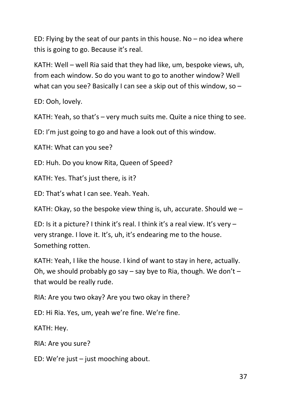ED: Flying by the seat of our pants in this house. No – no idea where this is going to go. Because it's real.

KATH: Well – well Ria said that they had like, um, bespoke views, uh, from each window. So do you want to go to another window? Well what can you see? Basically I can see a skip out of this window, so –

ED: Ooh, lovely.

KATH: Yeah, so that's – very much suits me. Quite a nice thing to see.

ED: I'm just going to go and have a look out of this window.

KATH: What can you see?

ED: Huh. Do you know Rita, Queen of Speed?

KATH: Yes. That's just there, is it?

ED: That's what I can see. Yeah. Yeah.

KATH: Okay, so the bespoke view thing is, uh, accurate. Should we –

ED: Is it a picture? I think it's real. I think it's a real view. It's very – very strange. I love it. It's, uh, it's endearing me to the house. Something rotten.

KATH: Yeah, I like the house. I kind of want to stay in here, actually. Oh, we should probably go say – say bye to Ria, though. We don't – that would be really rude.

RIA: Are you two okay? Are you two okay in there?

ED: Hi Ria. Yes, um, yeah we're fine. We're fine.

KATH: Hey.

RIA: Are you sure?

ED: We're just – just mooching about.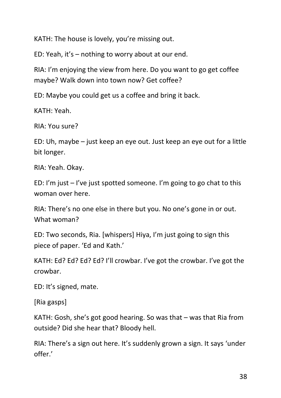KATH: The house is lovely, you're missing out.

ED: Yeah, it's – nothing to worry about at our end.

RIA: I'm enjoying the view from here. Do you want to go get coffee maybe? Walk down into town now? Get coffee?

ED: Maybe you could get us a coffee and bring it back.

KATH: Yeah.

RIA: You sure?

ED: Uh, maybe – just keep an eye out. Just keep an eye out for a little bit longer.

RIA: Yeah. Okay.

ED: I'm just – I've just spotted someone. I'm going to go chat to this woman over here.

RIA: There's no one else in there but you. No one's gone in or out. What woman?

ED: Two seconds, Ria. [whispers] Hiya, I'm just going to sign this piece of paper. 'Ed and Kath.'

KATH: Ed? Ed? Ed? Ed? I'll crowbar. I've got the crowbar. I've got the crowbar.

ED: It's signed, mate.

[Ria gasps]

KATH: Gosh, she's got good hearing. So was that – was that Ria from outside? Did she hear that? Bloody hell.

RIA: There's a sign out here. It's suddenly grown a sign. It says 'under offer.'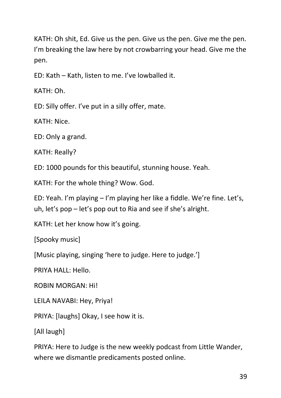KATH: Oh shit, Ed. Give us the pen. Give us the pen. Give me the pen. I'm breaking the law here by not crowbarring your head. Give me the pen.

ED: Kath – Kath, listen to me. I've lowballed it.

KATH: Oh.

ED: Silly offer. I've put in a silly offer, mate.

KATH: Nice.

ED: Only a grand.

KATH: Really?

ED: 1000 pounds for this beautiful, stunning house. Yeah.

KATH: For the whole thing? Wow. God.

ED: Yeah. I'm playing – I'm playing her like a fiddle. We're fine. Let's, uh, let's pop – let's pop out to Ria and see if she's alright.

KATH: Let her know how it's going.

[Spooky music]

[Music playing, singing 'here to judge. Here to judge.']

PRIYA HALL: Hello.

ROBIN MORGAN: Hi!

LEILA NAVABI: Hey, Priya!

PRIYA: [laughs] Okay, I see how it is.

[All laugh]

PRIYA: Here to Judge is the new weekly podcast from Little Wander, where we dismantle predicaments posted online.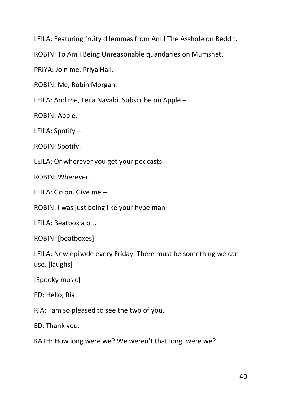LEILA: Featuring fruity dilemmas from Am I The Asshole on Reddit.

ROBIN: To Am I Being Unreasonable quandaries on Mumsnet.

PRIYA: Join me, Priya Hall.

ROBIN: Me, Robin Morgan.

LEILA: And me, Leila Navabi. Subscribe on Apple –

ROBIN: Apple.

LEILA: Spotify –

ROBIN: Spotify.

LEILA: Or wherever you get your podcasts.

ROBIN: Wherever.

LEILA: Go on. Give me –

ROBIN: I was just being like your hype man.

LEILA: Beatbox a bit.

ROBIN: [beatboxes]

LEILA: New episode every Friday. There must be something we can use. [laughs]

[Spooky music]

ED: Hello, Ria.

RIA: I am so pleased to see the two of you.

ED: Thank you.

KATH: How long were we? We weren't that long, were we?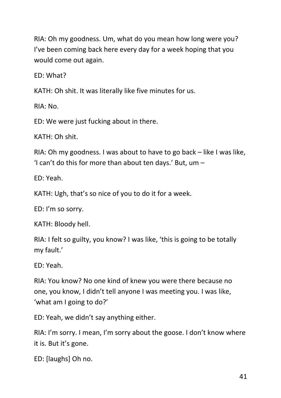RIA: Oh my goodness. Um, what do you mean how long were you? I've been coming back here every day for a week hoping that you would come out again.

ED: What?

KATH: Oh shit. It was literally like five minutes for us.

RIA: No.

ED: We were just fucking about in there.

KATH: Oh shit.

RIA: Oh my goodness. I was about to have to go back – like I was like, 'I can't do this for more than about ten days.' But,  $um -$ 

ED: Yeah.

KATH: Ugh, that's so nice of you to do it for a week.

ED: I'm so sorry.

KATH: Bloody hell.

RIA: I felt so guilty, you know? I was like, 'this is going to be totally my fault.'

ED: Yeah.

RIA: You know? No one kind of knew you were there because no one, you know, I didn't tell anyone I was meeting you. I was like, 'what am I going to do?'

ED: Yeah, we didn't say anything either.

RIA: I'm sorry. I mean, I'm sorry about the goose. I don't know where it is. But it's gone.

ED: [laughs] Oh no.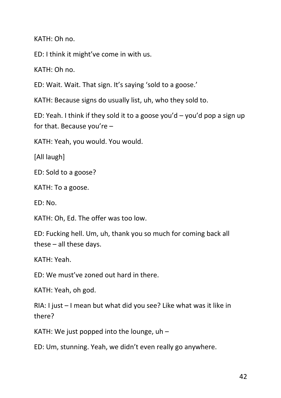KATH: Oh no.

ED: I think it might've come in with us.

KATH: Oh no.

ED: Wait. Wait. That sign. It's saying 'sold to a goose.'

KATH: Because signs do usually list, uh, who they sold to.

ED: Yeah. I think if they sold it to a goose you'd – you'd pop a sign up for that. Because you're –

KATH: Yeah, you would. You would.

[All laugh]

ED: Sold to a goose?

KATH: To a goose.

ED: No.

KATH: Oh, Ed. The offer was too low.

ED: Fucking hell. Um, uh, thank you so much for coming back all these – all these days.

KATH: Yeah.

ED: We must've zoned out hard in there.

KATH: Yeah, oh god.

RIA: I just – I mean but what did you see? Like what was it like in there?

KATH: We just popped into the lounge, uh –

ED: Um, stunning. Yeah, we didn't even really go anywhere.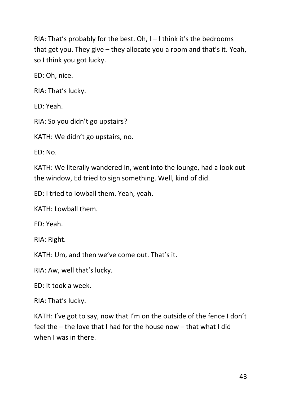RIA: That's probably for the best. Oh,  $I - I$  think it's the bedrooms that get you. They give – they allocate you a room and that's it. Yeah, so I think you got lucky.

ED: Oh, nice.

RIA: That's lucky.

ED: Yeah.

RIA: So you didn't go upstairs?

KATH: We didn't go upstairs, no.

ED: No.

KATH: We literally wandered in, went into the lounge, had a look out the window, Ed tried to sign something. Well, kind of did.

ED: I tried to lowball them. Yeah, yeah.

KATH: Lowball them.

ED: Yeah.

RIA: Right.

KATH: Um, and then we've come out. That's it.

RIA: Aw, well that's lucky.

 $FD: It$  took a week.

RIA: That's lucky.

KATH: I've got to say, now that I'm on the outside of the fence I don't feel the – the love that I had for the house now – that what I did when I was in there.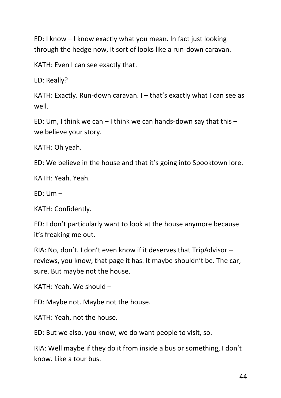ED: I know – I know exactly what you mean. In fact just looking through the hedge now, it sort of looks like a run-down caravan.

KATH: Even I can see exactly that.

ED: Really?

KATH: Exactly. Run-down caravan. I – that's exactly what I can see as well.

ED: Um, I think we can  $-1$  think we can hands-down say that this  $$ we believe your story.

KATH: Oh yeah.

ED: We believe in the house and that it's going into Spooktown lore.

KATH: Yeah. Yeah.

 $ED: Um -$ 

KATH: Confidently.

ED: I don't particularly want to look at the house anymore because it's freaking me out.

RIA: No, don't. I don't even know if it deserves that TripAdvisor – reviews, you know, that page it has. It maybe shouldn't be. The car, sure. But maybe not the house.

KATH: Yeah. We should –

ED: Maybe not. Maybe not the house.

KATH: Yeah, not the house.

ED: But we also, you know, we do want people to visit, so.

RIA: Well maybe if they do it from inside a bus or something, I don't know. Like a tour bus.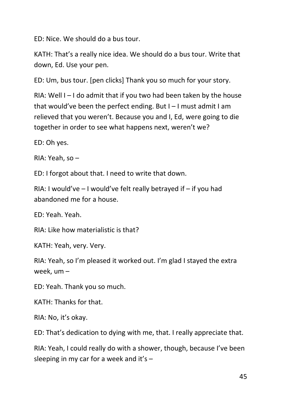ED: Nice. We should do a bus tour.

KATH: That's a really nice idea. We should do a bus tour. Write that down, Ed. Use your pen.

ED: Um, bus tour. [pen clicks] Thank you so much for your story.

RIA: Well  $I - I$  do admit that if you two had been taken by the house that would've been the perfect ending. But I – I must admit I am relieved that you weren't. Because you and I, Ed, were going to die together in order to see what happens next, weren't we?

ED: Oh yes.

RIA: Yeah, so –

ED: I forgot about that. I need to write that down.

RIA: I would've  $-1$  would've felt really betrayed if  $-$  if you had abandoned me for a house.

ED: Yeah. Yeah.

RIA: Like how materialistic is that?

KATH: Yeah, very. Very.

RIA: Yeah, so I'm pleased it worked out. I'm glad I stayed the extra week, um –

ED: Yeah. Thank you so much.

KATH: Thanks for that.

RIA: No, it's okay.

ED: That's dedication to dying with me, that. I really appreciate that.

RIA: Yeah, I could really do with a shower, though, because I've been sleeping in my car for a week and it's  $-$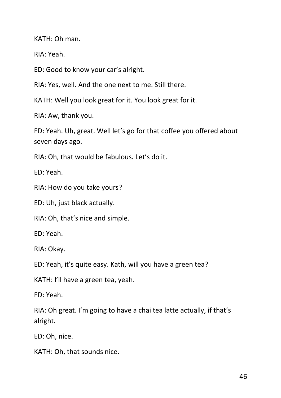KATH: Oh man.

RIA: Yeah.

ED: Good to know your car's alright.

RIA: Yes, well. And the one next to me. Still there.

KATH: Well you look great for it. You look great for it.

RIA: Aw, thank you.

ED: Yeah. Uh, great. Well let's go for that coffee you offered about seven days ago.

RIA: Oh, that would be fabulous. Let's do it.

ED: Yeah.

RIA: How do you take yours?

ED: Uh, just black actually.

RIA: Oh, that's nice and simple.

ED: Yeah.

RIA: Okay.

ED: Yeah, it's quite easy. Kath, will you have a green tea?

KATH: I'll have a green tea, yeah.

ED: Yeah.

RIA: Oh great. I'm going to have a chai tea latte actually, if that's alright.

ED: Oh, nice.

KATH: Oh, that sounds nice.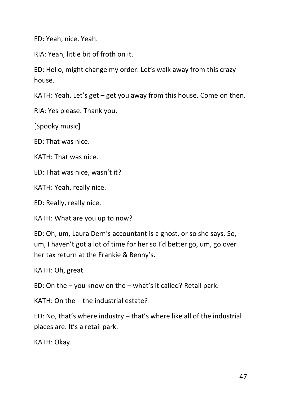ED: Yeah, nice. Yeah.

RIA: Yeah, little bit of froth on it.

ED: Hello, might change my order. Let's walk away from this crazy house.

KATH: Yeah. Let's get – get you away from this house. Come on then.

RIA: Yes please. Thank you.

[Spooky music]

ED: That was nice.

KATH: That was nice.

ED: That was nice, wasn't it?

KATH: Yeah, really nice.

ED: Really, really nice.

KATH: What are you up to now?

ED: Oh, um, Laura Dern's accountant is a ghost, or so she says. So, um, I haven't got a lot of time for her so I'd better go, um, go over her tax return at the Frankie & Benny's.

KATH: Oh, great.

ED: On the – you know on the – what's it called? Retail park.

KATH: On the – the industrial estate?

ED: No, that's where industry – that's where like all of the industrial places are. It's a retail park.

KATH: Okay.